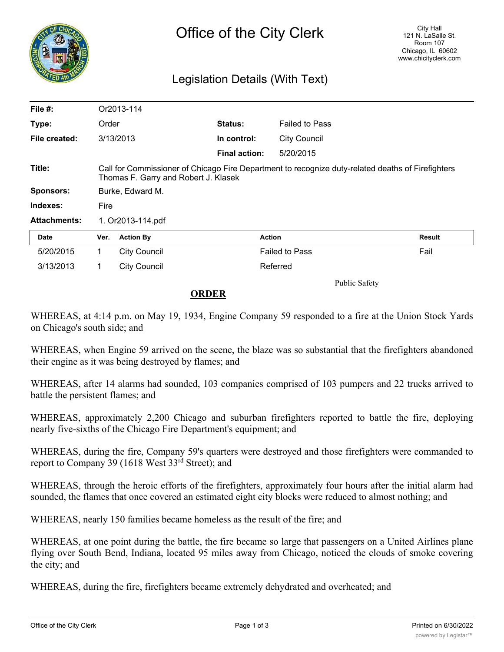

## Legislation Details (With Text)

| File #:             | Or2013-114                                                                                                                                |                     |                      |                       |               |
|---------------------|-------------------------------------------------------------------------------------------------------------------------------------------|---------------------|----------------------|-----------------------|---------------|
| Type:               | Order                                                                                                                                     |                     | <b>Status:</b>       | <b>Failed to Pass</b> |               |
| File created:       | 3/13/2013                                                                                                                                 |                     | In control:          | <b>City Council</b>   |               |
|                     |                                                                                                                                           |                     | <b>Final action:</b> | 5/20/2015             |               |
| Title:              | Call for Commissioner of Chicago Fire Department to recognize duty-related deaths of Firefighters<br>Thomas F. Garry and Robert J. Klasek |                     |                      |                       |               |
| <b>Sponsors:</b>    | Burke, Edward M.                                                                                                                          |                     |                      |                       |               |
| Indexes:            | Fire                                                                                                                                      |                     |                      |                       |               |
| <b>Attachments:</b> | 1. Or2013-114.pdf                                                                                                                         |                     |                      |                       |               |
| Date                | Ver.                                                                                                                                      | <b>Action By</b>    | <b>Action</b>        |                       | <b>Result</b> |
| 5/20/2015           | 1.                                                                                                                                        | <b>City Council</b> |                      | <b>Failed to Pass</b> | Fail          |
| 3/13/2013           | 1.                                                                                                                                        | <b>City Council</b> |                      | Referred              |               |
|                     |                                                                                                                                           |                     |                      | <b>Public Safety</b>  |               |

## **ORDER**

WHEREAS, at 4:14 p.m. on May 19, 1934, Engine Company 59 responded to a fire at the Union Stock Yards on Chicago's south side; and

WHEREAS, when Engine 59 arrived on the scene, the blaze was so substantial that the firefighters abandoned their engine as it was being destroyed by flames; and

WHEREAS, after 14 alarms had sounded, 103 companies comprised of 103 pumpers and 22 trucks arrived to battle the persistent flames; and

WHEREAS, approximately 2,200 Chicago and suburban firefighters reported to battle the fire, deploying nearly five-sixths of the Chicago Fire Department's equipment; and

WHEREAS, during the fire, Company 59's quarters were destroyed and those firefighters were commanded to report to Company 39 (1618 West 33rd Street); and

WHEREAS, through the heroic efforts of the firefighters, approximately four hours after the initial alarm had sounded, the flames that once covered an estimated eight city blocks were reduced to almost nothing; and

WHEREAS, nearly 150 families became homeless as the result of the fire; and

WHEREAS, at one point during the battle, the fire became so large that passengers on a United Airlines plane flying over South Bend, Indiana, located 95 miles away from Chicago, noticed the clouds of smoke covering the city; and

WHEREAS, during the fire, firefighters became extremely dehydrated and overheated; and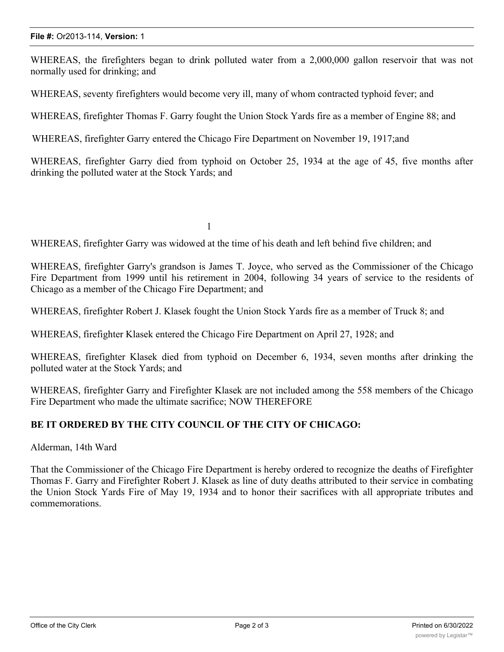WHEREAS, the firefighters began to drink polluted water from a 2,000,000 gallon reservoir that was not normally used for drinking; and

WHEREAS, seventy firefighters would become very ill, many of whom contracted typhoid fever; and

WHEREAS, firefighter Thomas F. Garry fought the Union Stock Yards fire as a member of Engine 88; and

WHEREAS, firefighter Garry entered the Chicago Fire Department on November 19, 1917;and

WHEREAS, firefighter Garry died from typhoid on October 25, 1934 at the age of 45, five months after drinking the polluted water at the Stock Yards; and

1

WHEREAS, firefighter Garry was widowed at the time of his death and left behind five children; and

WHEREAS, firefighter Garry's grandson is James T. Joyce, who served as the Commissioner of the Chicago Fire Department from 1999 until his retirement in 2004, following 34 years of service to the residents of Chicago as a member of the Chicago Fire Department; and

WHEREAS, firefighter Robert J. Klasek fought the Union Stock Yards fire as a member of Truck 8; and

WHEREAS, firefighter Klasek entered the Chicago Fire Department on April 27, 1928; and

WHEREAS, firefighter Klasek died from typhoid on December 6, 1934, seven months after drinking the polluted water at the Stock Yards; and

WHEREAS, firefighter Garry and Firefighter Klasek are not included among the 558 members of the Chicago Fire Department who made the ultimate sacrifice; NOW THEREFORE

## **BE IT ORDERED BY THE CITY COUNCIL OF THE CITY OF CHICAGO:**

Alderman, 14th Ward

That the Commissioner of the Chicago Fire Department is hereby ordered to recognize the deaths of Firefighter Thomas F. Garry and Firefighter Robert J. Klasek as line of duty deaths attributed to their service in combating the Union Stock Yards Fire of May 19, 1934 and to honor their sacrifices with all appropriate tributes and commemorations.